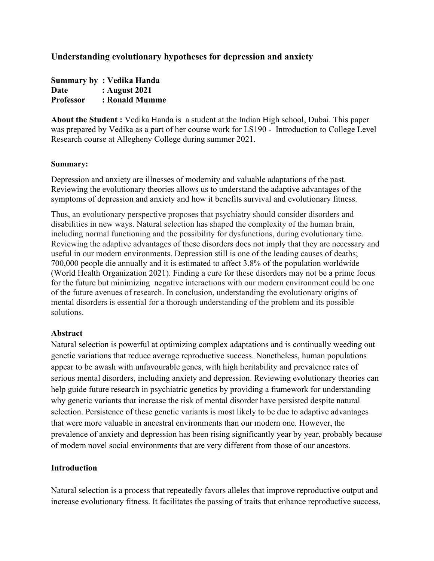## Understanding evolutionary hypotheses for depression and anxiety

Summary by : Vedika Handa Date : August 2021 Professor : Ronald Mumme

About the Student : Vedika Handa is a student at the Indian High school, Dubai. This paper was prepared by Vedika as a part of her course work for LS190 - Introduction to College Level Research course at Allegheny College during summer 2021.

#### Summary:

Depression and anxiety are illnesses of modernity and valuable adaptations of the past. Reviewing the evolutionary theories allows us to understand the adaptive advantages of the symptoms of depression and anxiety and how it benefits survival and evolutionary fitness.

Thus, an evolutionary perspective proposes that psychiatry should consider disorders and disabilities in new ways. Natural selection has shaped the complexity of the human brain, including normal functioning and the possibility for dysfunctions, during evolutionary time. Reviewing the adaptive advantages of these disorders does not imply that they are necessary and useful in our modern environments. Depression still is one of the leading causes of deaths; 700,000 people die annually and it is estimated to affect 3.8% of the population worldwide (World Health Organization 2021). Finding a cure for these disorders may not be a prime focus for the future but minimizing negative interactions with our modern environment could be one of the future avenues of research. In conclusion, understanding the evolutionary origins of mental disorders is essential for a thorough understanding of the problem and its possible solutions.

### Abstract

Natural selection is powerful at optimizing complex adaptations and is continually weeding out genetic variations that reduce average reproductive success. Nonetheless, human populations appear to be awash with unfavourable genes, with high heritability and prevalence rates of serious mental disorders, including anxiety and depression. Reviewing evolutionary theories can help guide future research in psychiatric genetics by providing a framework for understanding why genetic variants that increase the risk of mental disorder have persisted despite natural selection. Persistence of these genetic variants is most likely to be due to adaptive advantages that were more valuable in ancestral environments than our modern one. However, the prevalence of anxiety and depression has been rising significantly year by year, probably because of modern novel social environments that are very different from those of our ancestors.

### Introduction

Natural selection is a process that repeatedly favors alleles that improve reproductive output and increase evolutionary fitness. It facilitates the passing of traits that enhance reproductive success,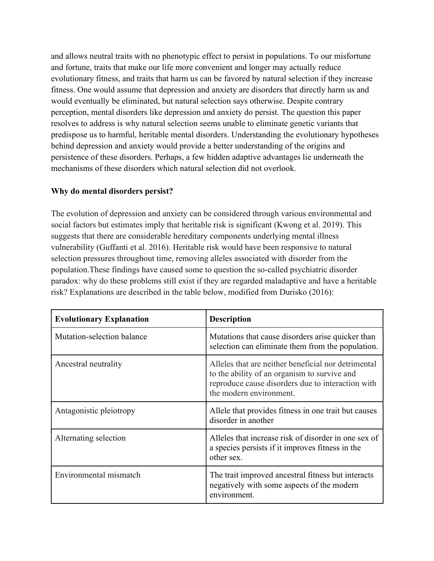and allows neutral traits with no phenotypic effect to persist in populations. To our misfortune and fortune, traits that make our life more convenient and longer may actually reduce evolutionary fitness, and traits that harm us can be favored by natural selection if they increase fitness. One would assume that depression and anxiety are disorders that directly harm us and would eventually be eliminated, but natural selection says otherwise. Despite contrary perception, mental disorders like depression and anxiety do persist. The question this paper resolves to address is why natural selection seems unable to eliminate genetic variants that predispose us to harmful, heritable mental disorders. Understanding the evolutionary hypotheses behind depression and anxiety would provide a better understanding of the origins and persistence of these disorders. Perhaps, a few hidden adaptive advantages lie underneath the mechanisms of these disorders which natural selection did not overlook.

### Why do mental disorders persist?

The evolution of depression and anxiety can be considered through various environmental and social factors but estimates imply that heritable risk is significant (Kwong et al. 2019). This suggests that there are considerable hereditary components underlying mental illness vulnerability (Guffanti et al. 2016). Heritable risk would have been responsive to natural selection pressures throughout time, removing alleles associated with disorder from the population.These findings have caused some to question the so-called psychiatric disorder paradox: why do these problems still exist if they are regarded maladaptive and have a heritable risk? Explanations are described in the table below, modified from Durisko (2016):

| <b>Evolutionary Explanation</b> | <b>Description</b>                                                                                                                                                                  |
|---------------------------------|-------------------------------------------------------------------------------------------------------------------------------------------------------------------------------------|
| Mutation-selection balance      | Mutations that cause disorders arise quicker than<br>selection can eliminate them from the population.                                                                              |
| Ancestral neutrality            | Alleles that are neither beneficial nor detrimental<br>to the ability of an organism to survive and<br>reproduce cause disorders due to interaction with<br>the modern environment. |
| Antagonistic pleiotropy         | Allele that provides fitness in one trait but causes<br>disorder in another                                                                                                         |
| Alternating selection           | Alleles that increase risk of disorder in one sex of<br>a species persists if it improves fitness in the<br>other sex.                                                              |
| Environmental mismatch          | The trait improved ancestral fitness but interacts<br>negatively with some aspects of the modern<br>environment.                                                                    |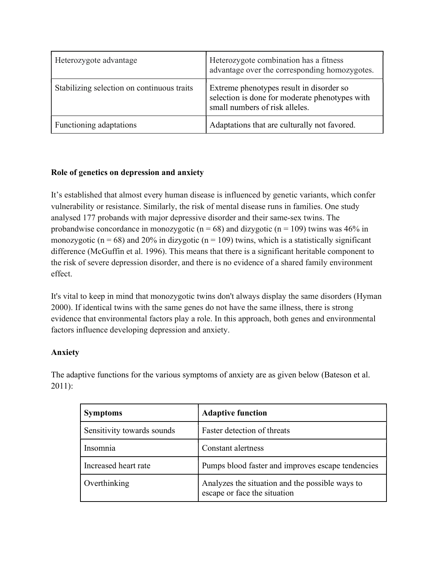| Heterozygote advantage                     | Heterozygote combination has a fitness<br>advantage over the corresponding homozygotes.                                      |
|--------------------------------------------|------------------------------------------------------------------------------------------------------------------------------|
| Stabilizing selection on continuous traits | Extreme phenotypes result in disorder so<br>selection is done for moderate phenotypes with<br>small numbers of risk alleles. |
| Functioning adaptations                    | Adaptations that are culturally not favored.                                                                                 |

# Role of genetics on depression and anxiety

It's established that almost every human disease is influenced by genetic variants, which confer vulnerability or resistance. Similarly, the risk of mental disease runs in families. One study analysed 177 probands with major depressive disorder and their same-sex twins. The probandwise concordance in monozygotic ( $n = 68$ ) and dizygotic ( $n = 109$ ) twins was 46% in monozygotic ( $n = 68$ ) and 20% in dizygotic ( $n = 109$ ) twins, which is a statistically significant difference (McGuffin et al. 1996). This means that there is a significant heritable component to the risk of severe depression disorder, and there is no evidence of a shared family environment effect.

It's vital to keep in mind that monozygotic twins don't always display the same disorders (Hyman 2000). If identical twins with the same genes do not have the same illness, there is strong evidence that environmental factors play a role. In this approach, both genes and environmental factors influence developing depression and anxiety.

# Anxiety

The adaptive functions for the various symptoms of anxiety are as given below (Bateson et al. 2011):

| <b>Symptoms</b>            | <b>Adaptive function</b>                                                        |
|----------------------------|---------------------------------------------------------------------------------|
| Sensitivity towards sounds | Faster detection of threats                                                     |
| Insomnia                   | Constant alertness                                                              |
| Increased heart rate       | Pumps blood faster and improves escape tendencies                               |
| Overthinking               | Analyzes the situation and the possible ways to<br>escape or face the situation |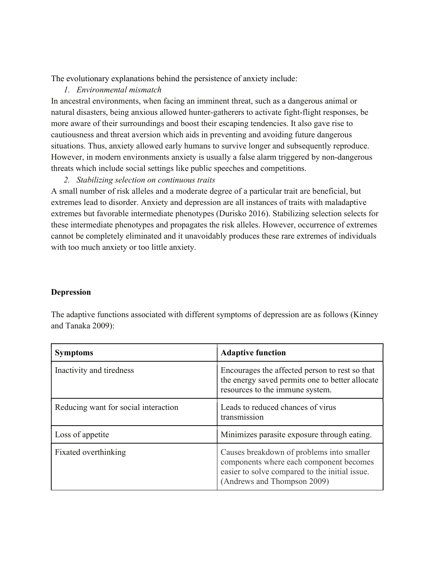The evolutionary explanations behind the persistence of anxiety include:

### 1. Environmental mismatch

In ancestral environments, when facing an imminent threat, such as a dangerous animal or natural disasters, being anxious allowed hunter-gatherers to activate fight-flight responses, be more aware of their surroundings and boost their escaping tendencies. It also gave rise to cautiousness and threat aversion which aids in preventing and avoiding future dangerous situations. Thus, anxiety allowed early humans to survive longer and subsequently reproduce. However, in modern environments anxiety is usually a false alarm triggered by non-dangerous threats which include social settings like public speeches and competitions.

2. Stabilizing selection on continuous traits

A small number of risk alleles and a moderate degree of a particular trait are beneficial, but extremes lead to disorder. Anxiety and depression are all instances of traits with maladaptive extremes but favorable intermediate phenotypes (Durisko 2016). Stabilizing selection selects for these intermediate phenotypes and propagates the risk alleles. However, occurrence of extremes cannot be completely eliminated and it unavoidably produces these rare extremes of individuals with too much anxiety or too little anxiety.

### Depression

| <b>Symptoms</b>                      | <b>Adaptive function</b>                                                                                                                                              |
|--------------------------------------|-----------------------------------------------------------------------------------------------------------------------------------------------------------------------|
| Inactivity and tiredness             | Encourages the affected person to rest so that<br>the energy saved permits one to better allocate<br>resources to the immune system.                                  |
| Reducing want for social interaction | Leads to reduced chances of virus<br>transmission                                                                                                                     |
| Loss of appetite                     | Minimizes parasite exposure through eating.                                                                                                                           |
| Fixated overthinking                 | Causes breakdown of problems into smaller<br>components where each component becomes<br>easier to solve compared to the initial issue.<br>(Andrews and Thompson 2009) |

The adaptive functions associated with different symptoms of depression are as follows (Kinney and Tanaka 2009):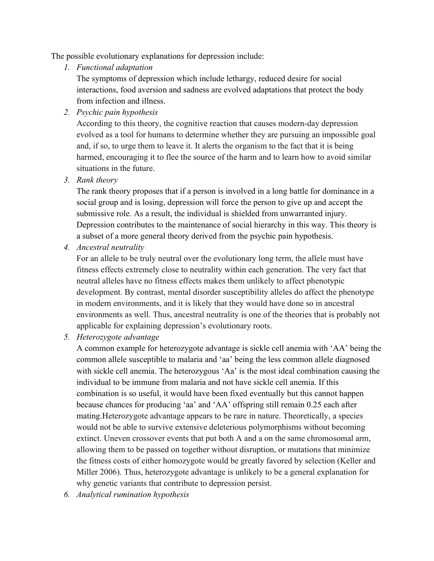The possible evolutionary explanations for depression include:

1. Functional adaptation

The symptoms of depression which include lethargy, reduced desire for social interactions, food aversion and sadness are evolved adaptations that protect the body from infection and illness.

2. Psychic pain hypothesis

According to this theory, the cognitive reaction that causes modern-day depression evolved as a tool for humans to determine whether they are pursuing an impossible goal and, if so, to urge them to leave it. It alerts the organism to the fact that it is being harmed, encouraging it to flee the source of the harm and to learn how to avoid similar situations in the future.

3. Rank theory

The rank theory proposes that if a person is involved in a long battle for dominance in a social group and is losing, depression will force the person to give up and accept the submissive role. As a result, the individual is shielded from unwarranted injury. Depression contributes to the maintenance of social hierarchy in this way. This theory is a subset of a more general theory derived from the psychic pain hypothesis.

4. Ancestral neutrality

For an allele to be truly neutral over the evolutionary long term, the allele must have fitness effects extremely close to neutrality within each generation. The very fact that neutral alleles have no fitness effects makes them unlikely to affect phenotypic development. By contrast, mental disorder susceptibility alleles do affect the phenotype in modern environments, and it is likely that they would have done so in ancestral environments as well. Thus, ancestral neutrality is one of the theories that is probably not applicable for explaining depression's evolutionary roots.

5. Heterozygote advantage

A common example for heterozygote advantage is sickle cell anemia with 'AA' being the common allele susceptible to malaria and 'aa' being the less common allele diagnosed with sickle cell anemia. The heterozygous 'Aa' is the most ideal combination causing the individual to be immune from malaria and not have sickle cell anemia. If this combination is so useful, it would have been fixed eventually but this cannot happen because chances for producing 'aa' and 'AA' offspring still remain 0.25 each after mating.Heterozygote advantage appears to be rare in nature. Theoretically, a species would not be able to survive extensive deleterious polymorphisms without becoming extinct. Uneven crossover events that put both A and a on the same chromosomal arm, allowing them to be passed on together without disruption, or mutations that minimize the fitness costs of either homozygote would be greatly favored by selection (Keller and Miller 2006). Thus, heterozygote advantage is unlikely to be a general explanation for why genetic variants that contribute to depression persist.

6. Analytical rumination hypothesis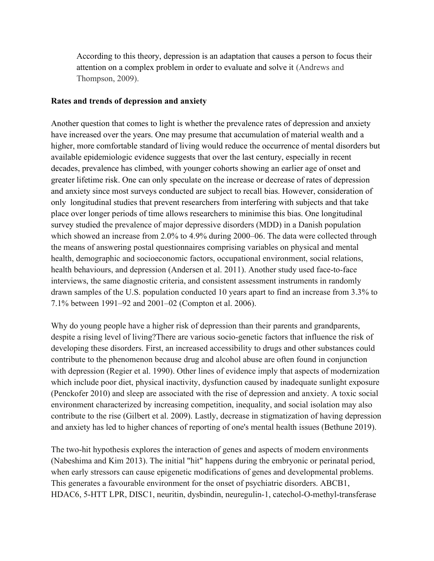According to this theory, depression is an adaptation that causes a person to focus their attention on a complex problem in order to evaluate and solve it (Andrews and Thompson, 2009).

#### Rates and trends of depression and anxiety

Another question that comes to light is whether the prevalence rates of depression and anxiety have increased over the years. One may presume that accumulation of material wealth and a higher, more comfortable standard of living would reduce the occurrence of mental disorders but available epidemiologic evidence suggests that over the last century, especially in recent decades, prevalence has climbed, with younger cohorts showing an earlier age of onset and greater lifetime risk. One can only speculate on the increase or decrease of rates of depression and anxiety since most surveys conducted are subject to recall bias. However, consideration of only longitudinal studies that prevent researchers from interfering with subjects and that take place over longer periods of time allows researchers to minimise this bias. One longitudinal survey studied the prevalence of major depressive disorders (MDD) in a Danish population which showed an increase from 2.0% to 4.9% during 2000–06. The data were collected through the means of answering postal questionnaires comprising variables on physical and mental health, demographic and socioeconomic factors, occupational environment, social relations, health behaviours, and depression (Andersen et al. 2011). Another study used face-to-face interviews, the same diagnostic criteria, and consistent assessment instruments in randomly drawn samples of the U.S. population conducted 10 years apart to find an increase from 3.3% to 7.1% between 1991–92 and 2001–02 (Compton et al. 2006).

Why do young people have a higher risk of depression than their parents and grandparents, despite a rising level of living?There are various socio-genetic factors that influence the risk of developing these disorders. First, an increased accessibility to drugs and other substances could contribute to the phenomenon because drug and alcohol abuse are often found in conjunction with depression (Regier et al. 1990). Other lines of evidence imply that aspects of modernization which include poor diet, physical inactivity, dysfunction caused by inadequate sunlight exposure (Penckofer 2010) and sleep are associated with the rise of depression and anxiety. A toxic social environment characterized by increasing competition, inequality, and social isolation may also contribute to the rise (Gilbert et al. 2009). Lastly, decrease in stigmatization of having depression and anxiety has led to higher chances of reporting of one's mental health issues (Bethune 2019).

The two-hit hypothesis explores the interaction of genes and aspects of modern environments (Nabeshima and Kim 2013). The initial "hit" happens during the embryonic or perinatal period, when early stressors can cause epigenetic modifications of genes and developmental problems. This generates a favourable environment for the onset of psychiatric disorders. ABCB1, HDAC6, 5-HTT LPR, DISC1, neuritin, dysbindin, neuregulin-1, catechol-O-methyl-transferase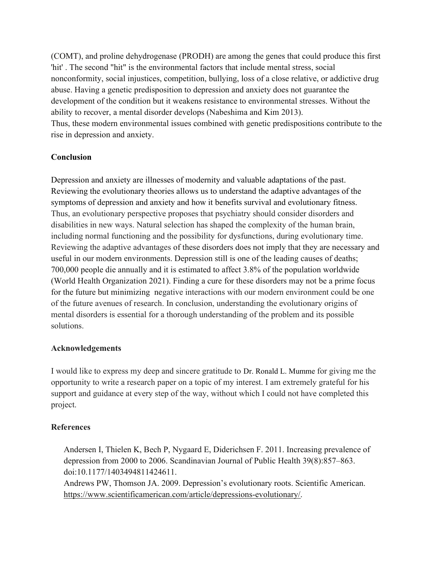(COMT), and proline dehydrogenase (PRODH) are among the genes that could produce this first 'hit' . The second "hit" is the environmental factors that include mental stress, social nonconformity, social injustices, competition, bullying, loss of a close relative, or addictive drug abuse. Having a genetic predisposition to depression and anxiety does not guarantee the development of the condition but it weakens resistance to environmental stresses. Without the ability to recover, a mental disorder develops (Nabeshima and Kim 2013). Thus, these modern environmental issues combined with genetic predispositions contribute to the rise in depression and anxiety.

## Conclusion

Depression and anxiety are illnesses of modernity and valuable adaptations of the past. Reviewing the evolutionary theories allows us to understand the adaptive advantages of the symptoms of depression and anxiety and how it benefits survival and evolutionary fitness. Thus, an evolutionary perspective proposes that psychiatry should consider disorders and disabilities in new ways. Natural selection has shaped the complexity of the human brain, including normal functioning and the possibility for dysfunctions, during evolutionary time. Reviewing the adaptive advantages of these disorders does not imply that they are necessary and useful in our modern environments. Depression still is one of the leading causes of deaths; 700,000 people die annually and it is estimated to affect 3.8% of the population worldwide (World Health Organization 2021). Finding a cure for these disorders may not be a prime focus for the future but minimizing negative interactions with our modern environment could be one of the future avenues of research. In conclusion, understanding the evolutionary origins of mental disorders is essential for a thorough understanding of the problem and its possible solutions.

### Acknowledgements

I would like to express my deep and sincere gratitude to Dr. Ronald L. Mumme for giving me the opportunity to write a research paper on a topic of my interest. I am extremely grateful for his support and guidance at every step of the way, without which I could not have completed this project.

### References

Andersen I, Thielen K, Bech P, Nygaard E, Diderichsen F. 2011. Increasing prevalence of depression from 2000 to 2006. Scandinavian Journal of Public Health 39(8):857–863. doi:10.1177/1403494811424611.

Andrews PW, Thomson JA. 2009. Depression's evolutionary roots. Scientific American. https://www.scientificamerican.com/article/depressions-evolutionary/.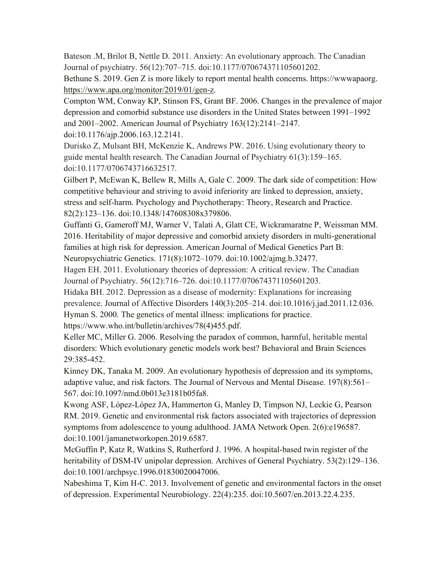Bateson .M, Brilot B, Nettle D. 2011. Anxiety: An evolutionary approach. The Canadian Journal of psychiatry. 56(12):707–715. doi:10.1177/070674371105601202.

Bethune S. 2019. Gen Z is more likely to report mental health concerns. https://wwwapaorg. https://www.apa.org/monitor/2019/01/gen-z.

Compton WM, Conway KP, Stinson FS, Grant BF. 2006. Changes in the prevalence of major depression and comorbid substance use disorders in the United States between 1991–1992 and 2001–2002. American Journal of Psychiatry 163(12):2141–2147.

doi:10.1176/ajp.2006.163.12.2141.

Durisko Z, Mulsant BH, McKenzie K, Andrews PW. 2016. Using evolutionary theory to guide mental health research. The Canadian Journal of Psychiatry 61(3):159–165. doi:10.1177/0706743716632517.

Gilbert P, McEwan K, Bellew R, Mills A, Gale C. 2009. The dark side of competition: How competitive behaviour and striving to avoid inferiority are linked to depression, anxiety, stress and self-harm. Psychology and Psychotherapy: Theory, Research and Practice. 82(2):123–136. doi:10.1348/147608308x379806.

Guffanti G, Gameroff MJ, Warner V, Talati A, Glatt CE, Wickramaratne P, Weissman MM. 2016. Heritability of major depressive and comorbid anxiety disorders in multi-generational families at high risk for depression. American Journal of Medical Genetics Part B: Neuropsychiatric Genetics. 171(8):1072–1079. doi:10.1002/ajmg.b.32477.

Hagen EH. 2011. Evolutionary theories of depression: A critical review. The Canadian Journal of Psychiatry. 56(12):716–726. doi:10.1177/070674371105601203.

Hidaka BH. 2012. Depression as a disease of modernity: Explanations for increasing prevalence. Journal of Affective Disorders 140(3):205–214. doi:10.1016/j.jad.2011.12.036. Hyman S. 2000. The genetics of mental illness: implications for practice.

https://www.who.int/bulletin/archives/78(4)455.pdf.

Keller MC, Miller G. 2006. Resolving the paradox of common, harmful, heritable mental disorders: Which evolutionary genetic models work best? Behavioral and Brain Sciences 29:385-452.

Kinney DK, Tanaka M. 2009. An evolutionary hypothesis of depression and its symptoms, adaptive value, and risk factors. The Journal of Nervous and Mental Disease. 197(8):561– 567. doi:10.1097/nmd.0b013e3181b05fa8.

Kwong ASF, López-López JA, Hammerton G, Manley D, Timpson NJ, Leckie G, Pearson RM. 2019. Genetic and environmental risk factors associated with trajectories of depression symptoms from adolescence to young adulthood. JAMA Network Open. 2(6):e196587. doi:10.1001/jamanetworkopen.2019.6587.

McGuffin P, Katz R, Watkins S, Rutherford J. 1996. A hospital-based twin register of the heritability of DSM-IV unipolar depression. Archives of General Psychiatry. 53(2):129–136. doi:10.1001/archpsyc.1996.01830020047006.

Nabeshima T, Kim H-C. 2013. Involvement of genetic and environmental factors in the onset of depression. Experimental Neurobiology. 22(4):235. doi:10.5607/en.2013.22.4.235.